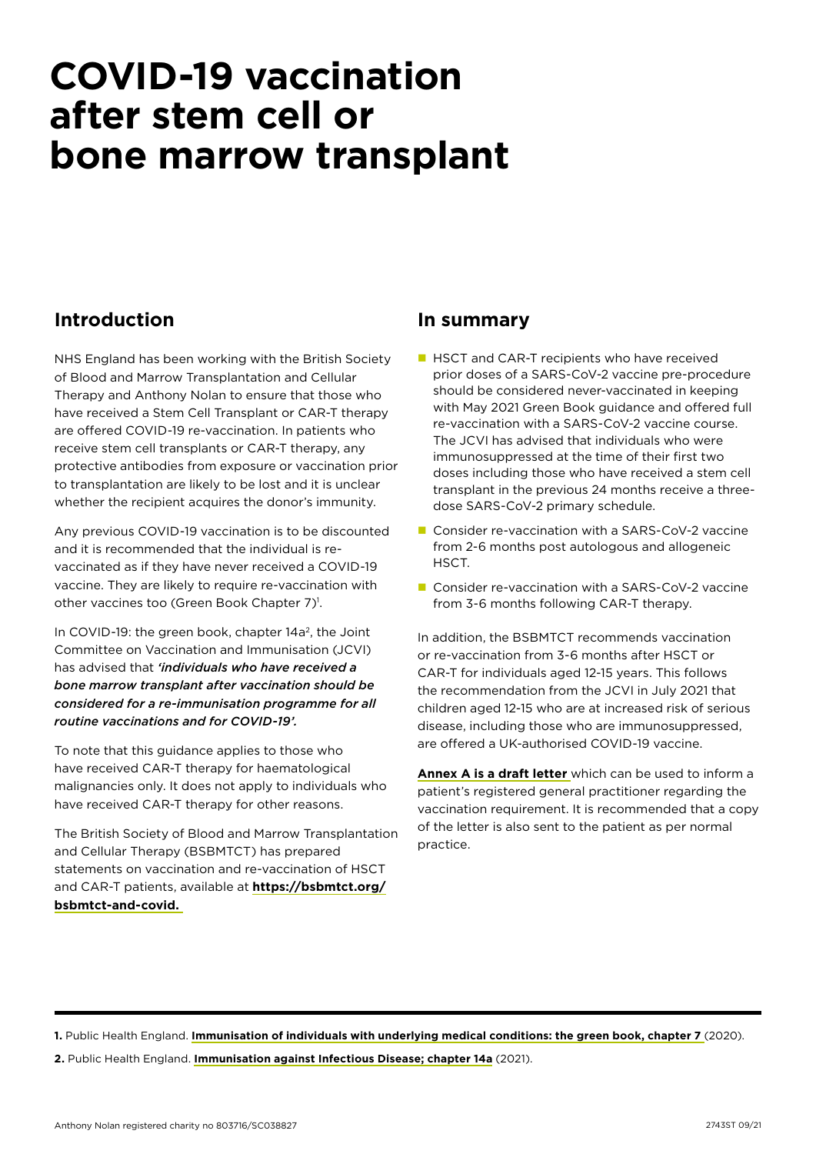# **COVID-19 vaccination after stem cell or bone marrow transplant**

# **Introduction**

NHS England has been working with the British Society of Blood and Marrow Transplantation and Cellular Therapy and Anthony Nolan to ensure that those who have received a Stem Cell Transplant or CAR-T therapy are offered COVID-19 re-vaccination. In patients who receive stem cell transplants or CAR-T therapy, any protective antibodies from exposure or vaccination prior to transplantation are likely to be lost and it is unclear whether the recipient acquires the donor's immunity.

Any previous COVID-19 vaccination is to be discounted and it is recommended that the individual is revaccinated as if they have never received a COVID-19 vaccine. They are likely to require re-vaccination with other vaccines too (Green Book Chapter 7)<sup>1</sup>.

In COVID-19: the green book, chapter  $14a^2$ , the Joint Committee on Vaccination and Immunisation (JCVI) has advised that *'individuals who have received a bone marrow transplant after vaccination should be considered for a re-immunisation programme for all routine vaccinations and for COVID-19'.*

To note that this guidance applies to those who have received CAR-T therapy for haematological malignancies only. It does not apply to individuals who have received CAR-T therapy for other reasons.

The British Society of Blood and Marrow Transplantation and Cellular Therapy (BSBMTCT) has prepared statements on vaccination and re-vaccination of HSCT and CAR-T patients, available at **[https://bsbmtct.org/](https://bsbmtct.org/bsbmtct-and-covid. ) [bsbmtct-and-covid.](https://bsbmtct.org/bsbmtct-and-covid. )** 

### **In summary**

- **HSCT** and CAR-T recipients who have received prior doses of a SARS-CoV-2 vaccine pre-procedure should be considered never-vaccinated in keeping with May 2021 Green Book guidance and offered full re-vaccination with a SARS-CoV-2 vaccine course. The JCVI has advised that individuals who were immunosuppressed at the time of their first two doses including those who have received a stem cell transplant in the previous 24 months receive a threedose SARS-CoV-2 primary schedule.
- Consider re-vaccination with a SARS-CoV-2 vaccine from 2-6 months post autologous and allogeneic HSCT.
- $\blacksquare$  Consider re-vaccination with a SARS-CoV-2 vaccine from 3-6 months following CAR-T therapy.

In addition, the BSBMTCT recommends vaccination or re-vaccination from 3-6 months after HSCT or CAR-T for individuals aged 12-15 years. This follows the recommendation from the JCVI in July 2021 that children aged 12-15 who are at increased risk of serious disease, including those who are immunosuppressed, are offered a UK-authorised COVID-19 vaccine.

**[Annex A is a draft letter](#page-1-0)** which can be used to inform a patient's registered general practitioner regarding the vaccination requirement. It is recommended that a copy of the letter is also sent to the patient as per normal practice.

**1.** Public Health England. **[Immunisation of individuals with underlying medical conditions: the green book, chapter 7](https://www.gov.uk/government/publications/immunisation-of-individuals-with-underlying-medical-conditions-the-green-book-chapter-7.)** (2020). **2.** Public Health England. **[Immunisation against Infectious Disease; chapter 14a](https://www.gov.uk/government/publications/covid-19-the-green-book-chapter-14a)** (2021).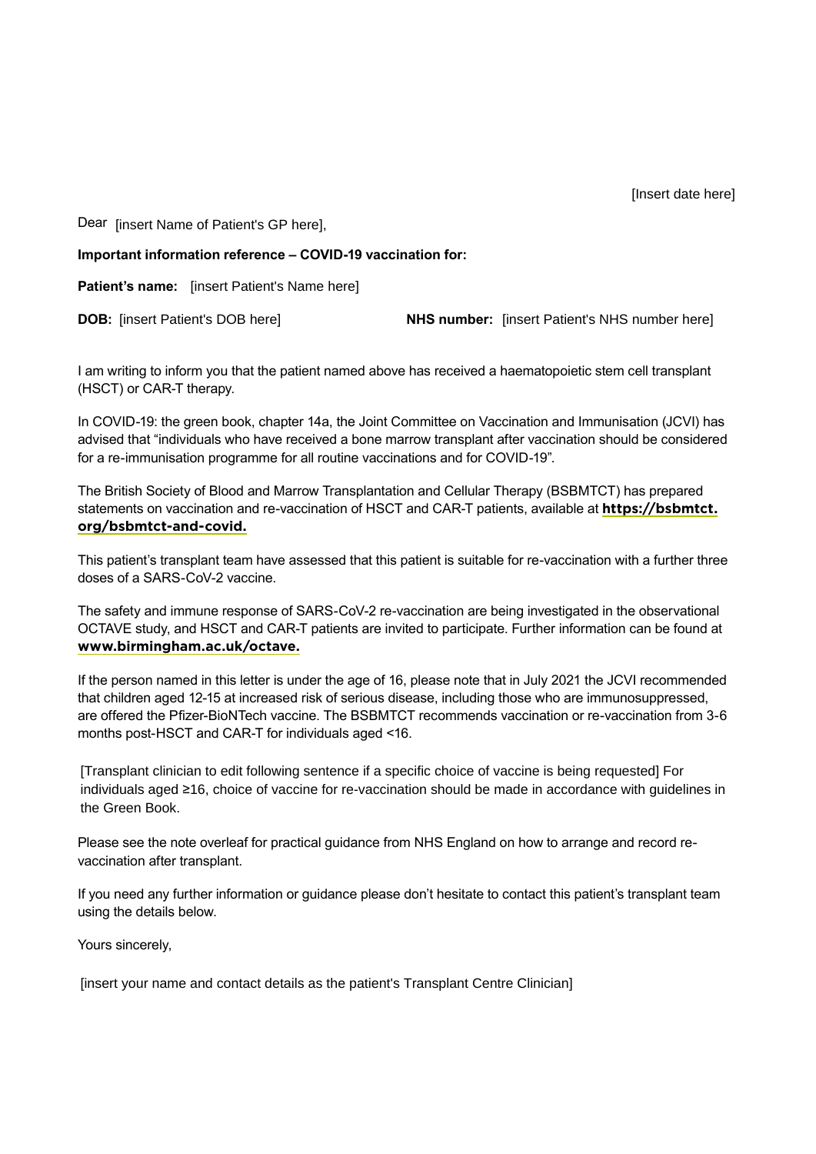<span id="page-1-0"></span>Dear [insert Name of Patient's GP here],

**Important information reference – COVID-19 vaccination for:**

**Patient's name:** [insert Patient's Name here]

**DOB:** linsert Patient's DOB herel

**NHS number:** [insert Patient's NHS number here]

I am writing to inform you that the patient named above has received a haematopoietic stem cell transplant (HSCT) or CAR-T therapy.

In COVID-19: the green book, chapter 14a, the Joint Committee on Vaccination and Immunisation (JCVI) has advised that "individuals who have received a bone marrow transplant after vaccination should be considered for a re-immunisation programme for all routine vaccinations and for COVID-19".

The British Society of Blood and Marrow Transplantation and Cellular Therapy (BSBMTCT) has prepared statements on vaccination and re-vaccination of HSCT and CAR-T patients, available at **[https://bsbmtct.](https://bsbmtct.org/bsbmtct-and-covid/) [org/bsbmtct-and-covid.](https://bsbmtct.org/bsbmtct-and-covid/)**

This patient's transplant team have assessed that this patient is suitable for re-vaccination with a further three doses of a SARS-CoV-2 vaccine.

The safety and immune response of SARS-CoV-2 re-vaccination are being investigated in the observational OCTAVE study, and HSCT and CAR-T patients are invited to participate. Further information can be found at **[www.birmingham.ac.uk/octave.](https://www.birmingham.ac.uk/research/crctu/trials/octave/index.aspx)**

If the person named in this letter is under the age of 16, please note that in July 2021 the JCVI recommended that children aged 12-15 at increased risk of serious disease, including those who are immunosuppressed, are offered the Pfizer-BioNTech vaccine. The BSBMTCT recommends vaccination or re-vaccination from 3-6 months post-HSCT and CAR-T for individuals aged <16.

[Transplant clinician to edit following sentence if a specific choice of vaccine is being requested] For individuals aged ≥16, choice of vaccine for re-vaccination should be made in accordance with guidelines in the Green Book.

Please see the note overleaf for practical guidance from NHS England on how to arrange and record revaccination after transplant.

If you need any further information or guidance please don't hesitate to contact this patient's transplant team using the details below.

Yours sincerely,

[insert your name and contact details as the patient's Transplant Centre Clinician]